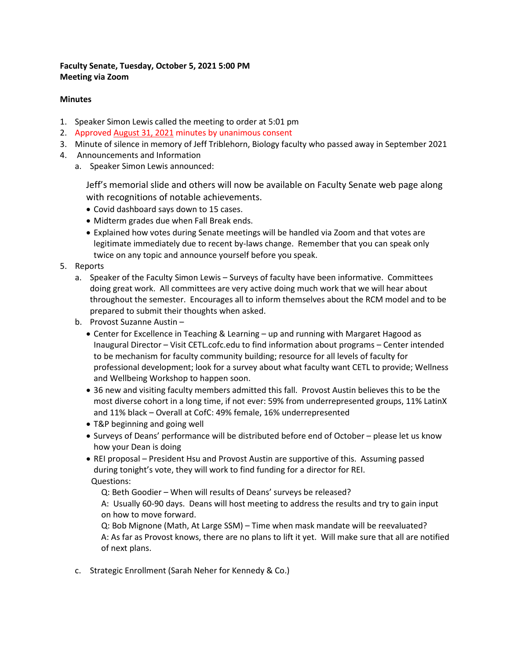#### **Faculty Senate, Tuesday, October 5, 2021 5:00 PM Meeting via Zoom**

#### **Minutes**

- 1. Speaker Simon Lewis called the meeting to order at 5:01 pm
- 2. Approved [August 31, 2021](https://facultysenate.cofc.edu/documents/archives/faculty-senate-minutes/minutes_2021_08_31.pdf) minutes by unanimous consent
- 3. Minute of silence in memory of Jeff Triblehorn, Biology faculty who passed away in September 2021
- 4. Announcements and Information
	- a. Speaker Simon Lewis announced:

Jeff's memorial slide and others will now be available on Faculty Senate web page along with recognitions of notable achievements.

- Covid dashboard says down to 15 cases.
- Midterm grades due when Fall Break ends.
- Explained how votes during Senate meetings will be handled via Zoom and that votes are legitimate immediately due to recent by-laws change. Remember that you can speak only twice on any topic and announce yourself before you speak.
- 5. Reports
	- a. Speaker of the Faculty Simon Lewis Surveys of faculty have been informative. Committees doing great work. All committees are very active doing much work that we will hear about throughout the semester. Encourages all to inform themselves about the RCM model and to be prepared to submit their thoughts when asked.
	- b. Provost Suzanne Austin
		- Center for Excellence in Teaching & Learning up and running with Margaret Hagood as Inaugural Director – Visit CETL.cofc.edu to find information about programs – Center intended to be mechanism for faculty community building; resource for all levels of faculty for professional development; look for a survey about what faculty want CETL to provide; Wellness and Wellbeing Workshop to happen soon.
		- 36 new and visiting faculty members admitted this fall. Provost Austin believes this to be the most diverse cohort in a long time, if not ever: 59% from underrepresented groups, 11% LatinX and 11% black – Overall at CofC: 49% female, 16% underrepresented
		- T&P beginning and going well
		- Surveys of Deans' performance will be distributed before end of October please let us know how your Dean is doing
		- REI proposal President Hsu and Provost Austin are supportive of this. Assuming passed during tonight's vote, they will work to find funding for a director for REI. Questions:

Q: Beth Goodier – When will results of Deans' surveys be released?

A: Usually 60-90 days. Deans will host meeting to address the results and try to gain input on how to move forward.

Q: Bob Mignone (Math, At Large SSM) – Time when mask mandate will be reevaluated? A: As far as Provost knows, there are no plans to lift it yet. Will make sure that all are notified of next plans.

c. Strategic Enrollment (Sarah Neher for Kennedy & Co.)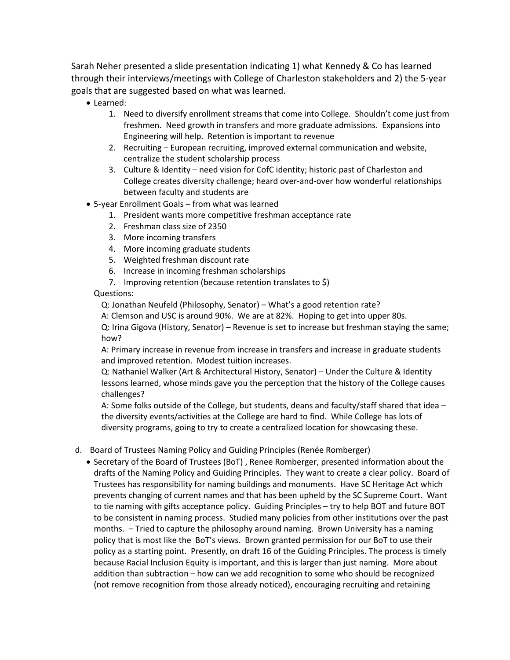Sarah Neher presented a slide presentation indicating 1) what Kennedy & Co has learned through their interviews/meetings with College of Charleston stakeholders and 2) the 5-year goals that are suggested based on what was learned.

- Learned:
	- 1. Need to diversify enrollment streams that come into College. Shouldn't come just from freshmen. Need growth in transfers and more graduate admissions. Expansions into Engineering will help. Retention is important to revenue
	- 2. Recruiting European recruiting, improved external communication and website, centralize the student scholarship process
	- 3. Culture & Identity need vision for CofC identity; historic past of Charleston and College creates diversity challenge; heard over-and-over how wonderful relationships between faculty and students are
- 5-year Enrollment Goals from what was learned
	- 1. President wants more competitive freshman acceptance rate
	- 2. Freshman class size of 2350
	- 3. More incoming transfers
	- 4. More incoming graduate students
	- 5. Weighted freshman discount rate
	- 6. Increase in incoming freshman scholarships
	- 7. Improving retention (because retention translates to \$)

Questions:

Q: Jonathan Neufeld (Philosophy, Senator) – What's a good retention rate?

A: Clemson and USC is around 90%. We are at 82%. Hoping to get into upper 80s.

Q: Irina Gigova (History, Senator) – Revenue is set to increase but freshman staying the same; how?

A: Primary increase in revenue from increase in transfers and increase in graduate students and improved retention. Modest tuition increases.

Q: Nathaniel Walker (Art & Architectural History, Senator) – Under the Culture & Identity lessons learned, whose minds gave you the perception that the history of the College causes challenges?

A: Some folks outside of the College, but students, deans and faculty/staff shared that idea – the diversity events/activities at the College are hard to find. While College has lots of diversity programs, going to try to create a centralized location for showcasing these.

- d. Board of Trustees Naming Policy and Guiding Principles (Renée Romberger)
	- Secretary of the Board of Trustees (BoT) , Renee Romberger, presented information about the drafts of the Naming Policy and Guiding Principles. They want to create a clear policy. Board of Trustees has responsibility for naming buildings and monuments. Have SC Heritage Act which prevents changing of current names and that has been upheld by the SC Supreme Court. Want to tie naming with gifts acceptance policy. Guiding Principles – try to help BOT and future BOT to be consistent in naming process. Studied many policies from other institutions over the past months. – Tried to capture the philosophy around naming. Brown University has a naming policy that is most like the BoT's views. Brown granted permission for our BoT to use their policy as a starting point. Presently, on draft 16 of the Guiding Principles. The process is timely because Racial Inclusion Equity is important, and this is larger than just naming. More about addition than subtraction – how can we add recognition to some who should be recognized (not remove recognition from those already noticed), encouraging recruiting and retaining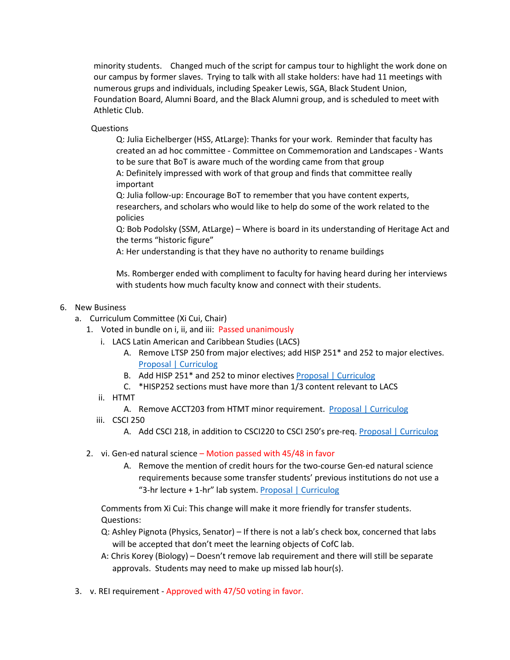minority students. Changed much of the script for campus tour to highlight the work done on our campus by former slaves. Trying to talk with all stake holders: have had 11 meetings with numerous grups and individuals, including Speaker Lewis, SGA, Black Student Union, Foundation Board, Alumni Board, and the Black Alumni group, and is scheduled to meet with Athletic Club.

Questions

Q: Julia Eichelberger (HSS, AtLarge): Thanks for your work. Reminder that faculty has created an ad hoc committee - Committee on Commemoration and Landscapes - Wants to be sure that BoT is aware much of the wording came from that group

A: Definitely impressed with work of that group and finds that committee really important

Q: Julia follow-up: Encourage BoT to remember that you have content experts, researchers, and scholars who would like to help do some of the work related to the policies

Q: Bob Podolsky (SSM, AtLarge) – Where is board in its understanding of Heritage Act and the terms "historic figure"

A: Her understanding is that they have no authority to rename buildings

Ms. Romberger ended with compliment to faculty for having heard during her interviews with students how much faculty know and connect with their students.

#### 6. New Business

- a. Curriculum Committee (Xi Cui, Chair)
	- 1. Voted in bundle on i, ii, and iii: Passed unanimously
		- i. LACS Latin American and Caribbean Studies (LACS)
			- A. Remove LTSP 250 from major electives; add HISP 251\* and 252 to major electives. [Proposal | Curriculog](https://cofc.curriculog.com/proposal:3414/form)
			- B. Add HISP 251\* and 252 to minor elective[s Proposal | Curriculog](https://cofc.curriculog.com/proposal:3428/form)
			- C. \*HISP252 sections must have more than 1/3 content relevant to LACS
		- ii. HTMT

A. Remove ACCT203 from HTMT minor requirement. [Proposal | Curriculog](https://cofc.curriculog.com/proposal:3275/form)

- iii. CSCI 250
	- A. Add CSCI 218, in addition to CSCI220 to CSCI 250's pre-req. [Proposal | Curriculog](https://cofc.curriculog.com/proposal:3458/form)
- 2. vi. Gen-ed natural science Motion passed with 45/48 in favor
	- A. Remove the mention of credit hours for the two-course Gen-ed natural science requirements because some transfer students' previous institutions do not use a "3-hr lecture + 1-hr" lab system[. Proposal | Curriculog](https://cofc.curriculog.com/proposal:3403/form)

Comments from Xi Cui: This change will make it more friendly for transfer students. Questions:

- Q: Ashley Pignota (Physics, Senator) If there is not a lab's check box, concerned that labs will be accepted that don't meet the learning objects of CofC lab.
- A: Chris Korey (Biology) Doesn't remove lab requirement and there will still be separate approvals. Students may need to make up missed lab hour(s).
- 3. v. REI requirement Approved with 47/50 voting in favor.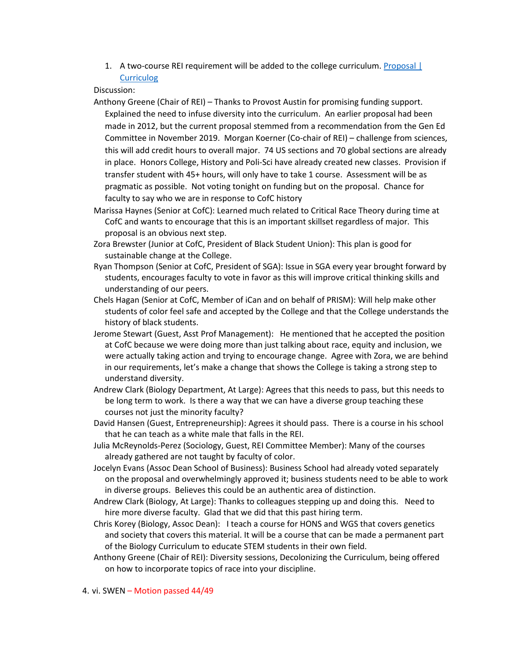1. A two-course REI requirement will be added to the college curriculum[. Proposal |](https://cofc.curriculog.com/proposal:3276/form)  **[Curriculog](https://cofc.curriculog.com/proposal:3276/form)** 

Discussion:

Anthony Greene (Chair of REI) – Thanks to Provost Austin for promising funding support. Explained the need to infuse diversity into the curriculum. An earlier proposal had been made in 2012, but the current proposal stemmed from a recommendation from the Gen Ed Committee in November 2019. Morgan Koerner (Co-chair of REI) – challenge from sciences, this will add credit hours to overall major. 74 US sections and 70 global sections are already in place. Honors College, History and Poli-Sci have already created new classes. Provision if transfer student with 45+ hours, will only have to take 1 course. Assessment will be as pragmatic as possible. Not voting tonight on funding but on the proposal. Chance for faculty to say who we are in response to CofC history

Marissa Haynes (Senior at CofC): Learned much related to Critical Race Theory during time at CofC and wants to encourage that this is an important skillset regardless of major. This proposal is an obvious next step.

- Zora Brewster (Junior at CofC, President of Black Student Union): This plan is good for sustainable change at the College.
- Ryan Thompson (Senior at CofC, President of SGA): Issue in SGA every year brought forward by students, encourages faculty to vote in favor as this will improve critical thinking skills and understanding of our peers.
- Chels Hagan (Senior at CofC, Member of iCan and on behalf of PRISM): Will help make other students of color feel safe and accepted by the College and that the College understands the history of black students.
- Jerome Stewart (Guest, Asst Prof Management): He mentioned that he accepted the position at CofC because we were doing more than just talking about race, equity and inclusion, we were actually taking action and trying to encourage change. Agree with Zora, we are behind in our requirements, let's make a change that shows the College is taking a strong step to understand diversity.
- Andrew Clark (Biology Department, At Large): Agrees that this needs to pass, but this needs to be long term to work. Is there a way that we can have a diverse group teaching these courses not just the minority faculty?
- David Hansen (Guest, Entrepreneurship): Agrees it should pass. There is a course in his school that he can teach as a white male that falls in the REI.
- Julia McReynolds-Perez (Sociology, Guest, REI Committee Member): Many of the courses already gathered are not taught by faculty of color.
- Jocelyn Evans (Assoc Dean School of Business): Business School had already voted separately on the proposal and overwhelmingly approved it; business students need to be able to work in diverse groups. Believes this could be an authentic area of distinction.
- Andrew Clark (Biology, At Large): Thanks to colleagues stepping up and doing this. Need to hire more diverse faculty. Glad that we did that this past hiring term.
- Chris Korey (Biology, Assoc Dean): I teach a course for HONS and WGS that covers genetics and society that covers this material. It will be a course that can be made a permanent part of the Biology Curriculum to educate STEM students in their own field.
- Anthony Greene (Chair of REI): Diversity sessions, Decolonizing the Curriculum, being offered on how to incorporate topics of race into your discipline.

4. vi. SWEN – Motion passed 44/49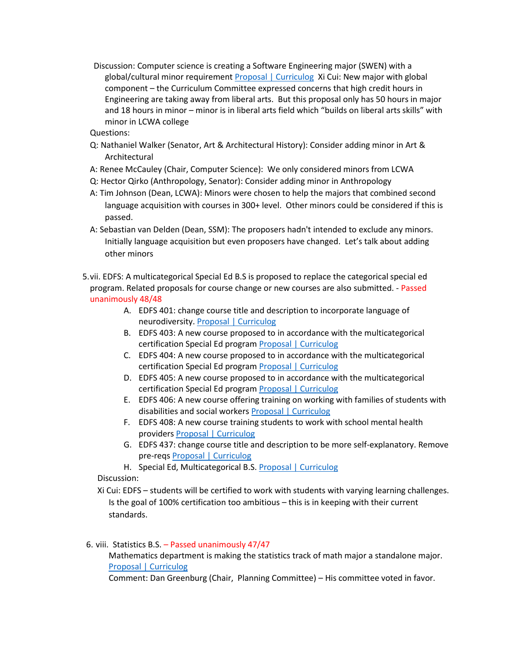Discussion: Computer science is creating a Software Engineering major (SWEN) with a global/cultural minor requirement [Proposal | Curriculog](https://cofc.curriculog.com/proposal:3269/form) Xi Cui: New major with global component – the Curriculum Committee expressed concerns that high credit hours in Engineering are taking away from liberal arts. But this proposal only has 50 hours in major and 18 hours in minor – minor is in liberal arts field which "builds on liberal arts skills" with minor in LCWA college

Questions:

- Q: Nathaniel Walker (Senator, Art & Architectural History): Consider adding minor in Art & Architectural
- A: Renee McCauley (Chair, Computer Science): We only considered minors from LCWA
- Q: Hector Qirko (Anthropology, Senator): Consider adding minor in Anthropology
- A: Tim Johnson (Dean, LCWA): Minors were chosen to help the majors that combined second language acquisition with courses in 300+ level. Other minors could be considered if this is passed.
- A: Sebastian van Delden (Dean, SSM): The proposers hadn't intended to exclude any minors. Initially language acquisition but even proposers have changed. Let's talk about adding other minors
- 5.vii. EDFS: A multicategorical Special Ed B.S is proposed to replace the categorical special ed program. Related proposals for course change or new courses are also submitted. - Passed unanimously 48/48
	- A. EDFS 401: change course title and description to incorporate language of neurodiversity[. Proposal | Curriculog](https://cofc.curriculog.com/proposal:3429/form)
	- B. EDFS 403: A new course proposed to in accordance with the multicategorical certification Special Ed program [Proposal | Curriculog](https://cofc.curriculog.com/proposal:3431/form)
	- C. EDFS 404: A new course proposed to in accordance with the multicategorical certification Special Ed program [Proposal | Curriculog](https://cofc.curriculog.com/proposal:3432/form)
	- D. EDFS 405: A new course proposed to in accordance with the multicategorical certification Special Ed program [Proposal | Curriculog](https://cofc.curriculog.com/proposal:3433/form)
	- E. EDFS 406: A new course offering training on working with families of students with disabilities and social worker[s Proposal | Curriculog](https://cofc.curriculog.com/proposal:3434/form)
	- F. EDFS 408: A new course training students to work with school mental health provider[s Proposal | Curriculog](https://cofc.curriculog.com/proposal:3435/form)
	- G. EDFS 437: change course title and description to be more self-explanatory. Remove pre-reqs [Proposal | Curriculog](https://cofc.curriculog.com/proposal:3430/form)
	- H. Special Ed, Multicategorical B.S. [Proposal | Curriculog](https://cofc.curriculog.com/proposal:3327/form)

Discussion:

Xi Cui: EDFS – students will be certified to work with students with varying learning challenges. Is the goal of 100% certification too ambitious – this is in keeping with their current standards.

6. viii. Statistics B.S. – Passed unanimously 47/47

Mathematics department is making the statistics track of math major a standalone major. [Proposal | Curriculog](https://cofc.curriculog.com/proposal:3370/form)

Comment: Dan Greenburg (Chair, Planning Committee) – His committee voted in favor.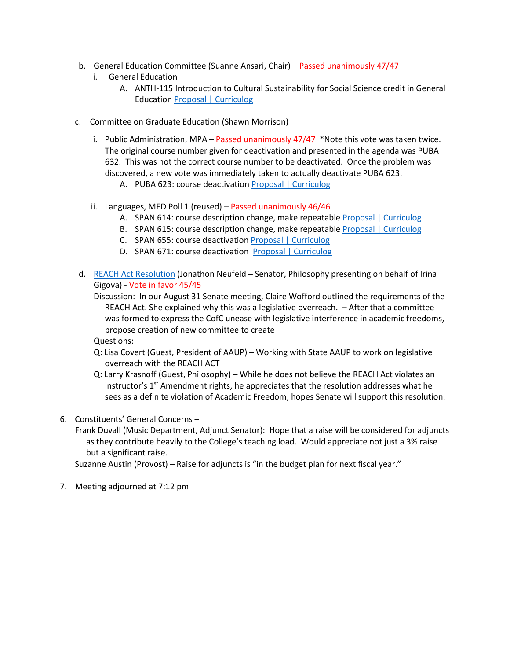- b. General Education Committee (Suanne Ansari, Chair) Passed unanimously 47/47
	- i. General Education
		- A. ANTH-115 Introduction to Cultural Sustainability for Social Science credit in General Education [Proposal | Curriculog](https://cofc.curriculog.com/proposal:3409/form)
- c. Committee on Graduate Education (Shawn Morrison)
	- i. Public Administration, MPA Passed unanimously  $47/47$  \*Note this vote was taken twice. The original course number given for deactivation and presented in the agenda was PUBA 632. This was not the correct course number to be deactivated. Once the problem was discovered, a new vote was immediately taken to actually deactivate PUBA 623.
		- A. PUBA 623: course deactivation [Proposal | Curriculog](https://cofc.curriculog.com/proposal:3404/form)
	- ii. Languages, MED Poll 1 (reused) Passed unanimously  $46/46$ 
		- A. SPAN 614: course description change, make repeatable [Proposal | Curriculog](https://cofc.curriculog.com/proposal:3265/form)
		- B. SPAN 615: course description change, make repeatable [Proposal | Curriculog](https://cofc.curriculog.com/proposal:3266/form)
		- C. SPAN 655: course deactivation [Proposal | Curriculog](https://cofc.curriculog.com/proposal:3259/form)
		- D. SPAN 671: course deactivation [Proposal | Curriculog](https://cofc.curriculog.com/proposal:3260/form)
- d. [REACH Act Resolution](https://facultysenate.cofc.edu/archives/senate-minutes/a-resolution-from-the-faculty-senate-regarding-implementation-of-the-reach-act14047.pdf) (Jonathon Neufeld Senator, Philosophy presenting on behalf of Irina Gigova) - Vote in favor 45/45

Discussion: In our August 31 Senate meeting, Claire Wofford outlined the requirements of the REACH Act. She explained why this was a legislative overreach. – After that a committee was formed to express the CofC unease with legislative interference in academic freedoms, propose creation of new committee to create

Questions:

- Q: Lisa Covert (Guest, President of AAUP) Working with State AAUP to work on legislative overreach with the REACH ACT
- Q: Larry Krasnoff (Guest, Philosophy) While he does not believe the REACH Act violates an instructor's  $1<sup>st</sup>$  Amendment rights, he appreciates that the resolution addresses what he sees as a definite violation of Academic Freedom, hopes Senate will support this resolution.
- 6. Constituents' General Concerns –

Frank Duvall (Music Department, Adjunct Senator): Hope that a raise will be considered for adjuncts as they contribute heavily to the College's teaching load. Would appreciate not just a 3% raise but a significant raise.

Suzanne Austin (Provost) – Raise for adjuncts is "in the budget plan for next fiscal year."

7. Meeting adjourned at 7:12 pm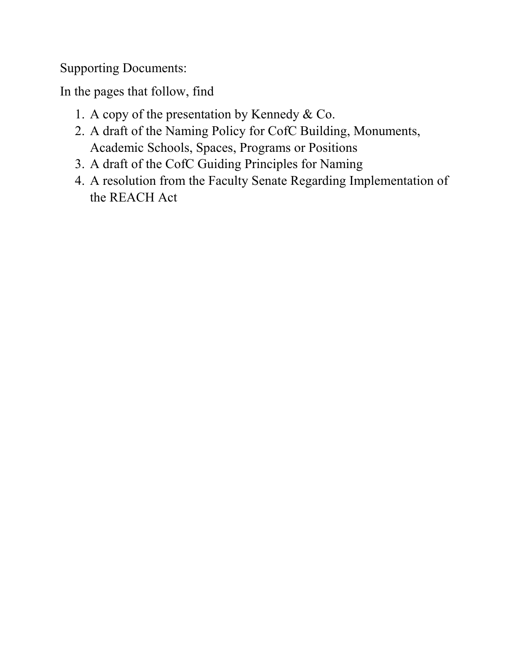Supporting Documents:

In the pages that follow, find

- 1. A copy of the presentation by Kennedy & Co.
- 2. A draft of the Naming Policy for CofC Building, Monuments, Academic Schools, Spaces, Programs or Positions
- 3. A draft of the CofC Guiding Principles for Naming
- 4. A resolution from the Faculty Senate Regarding Implementation of the REACH Act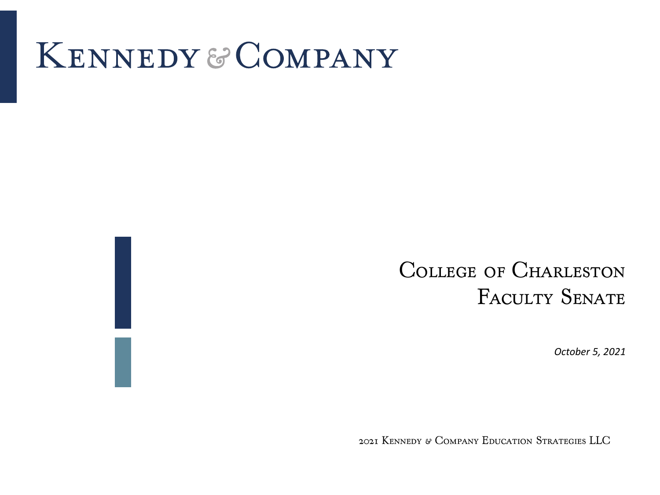# KENNEDY & COMPANY

# College of Charleston FACULTY SENATE

*October 5, 2021*

2021 Kennedy & Company Education Strategies LLC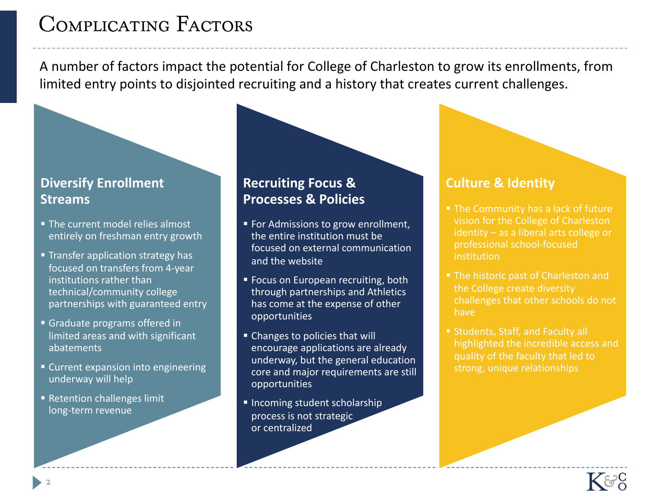# Complicating Factors

A number of factors impact the potential for College of Charleston to grow its enrollments, from limited entry points to disjointed recruiting and a history that creates current challenges.

# **Diversify Enrollment Streams**

- The current model relies almost entirely on freshman entry growth
- Transfer application strategy has focused on transfers from 4-year institutions rather than technical/community college partnerships with guaranteed entry
- § Graduate programs offered in limited areas and with significant abatements
- Current expansion into engineering underway will help
- Retention challenges limit long-term revenue

## **Recruiting Focus & Processes & Policies**

- For Admissions to grow enrollment, the entire institution must be focused on external communication and the website
- Focus on European recruiting, both through partnerships and Athletics has come at the expense of other opportunities
- Changes to policies that will encourage applications are already underway, but the general education core and major requirements are still opportunities
- **E** Incoming student scholarship process is not strategic or centralized

### **Culture & Identity**

- The Community has a lack of future vision for the College of Charleston identity – as a liberal arts college or professional school-focused **institution**
- The historic past of Charleston and the College create diversity challenges that other schools do not have
- Students, Staff, and Faculty all highlighted the incredible access and quality of the faculty that led to strong, unique relationships

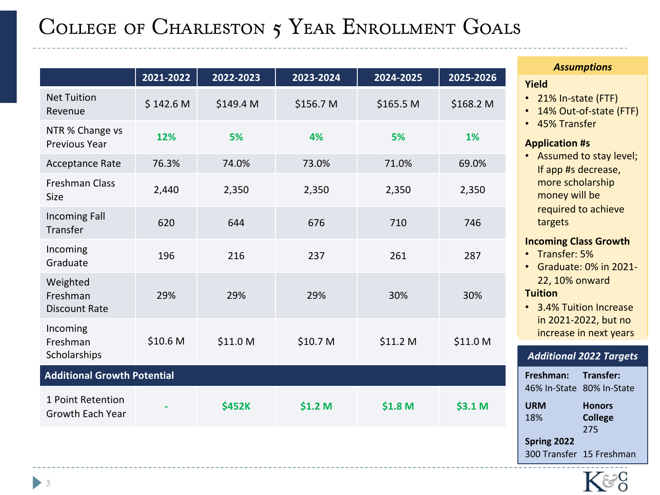# COLLEGE OF CHARLESTON 5 YEAR ENROLLMENT GOALS

|                                              | 2021-2022 | 2022-2023     | 2023-2024          | 2024-2025 | 2025-2026 |
|----------------------------------------------|-----------|---------------|--------------------|-----------|-----------|
| <b>Net Tuition</b><br>Revenue                | \$142.6 M | \$149.4 M     | \$156.7 M          | \$165.5 M | \$168.2 M |
| NTR % Change vs<br>Previous Year             | 12%       | 5%            | 4%                 | 5%        | 1%        |
| Acceptance Rate                              | 76.3%     | 74.0%         | 73.0%              | 71.0%     | 69.0%     |
| <b>Freshman Class</b><br><b>Size</b>         | 2,440     | 2,350         | 2,350              | 2,350     | 2,350     |
| <b>Incoming Fall</b><br>Transfer             | 620       | 644           | 676                | 710       | 746       |
| Incoming<br>Graduate                         | 196       | 216           | 237                | 261       | 287       |
| Weighted<br>Freshman<br><b>Discount Rate</b> | 29%       | 29%           | 29%                | 30%       | 30%       |
| Incoming<br>Freshman<br>Scholarships         | \$10.6 M  | \$11.0 M      | \$10.7 M           | \$11.2 M  | \$11.0 M  |
| <b>Additional Growth Potential</b>           |           |               |                    |           |           |
| 1 Point Retention<br>Growth Each Year        |           | <b>\$452K</b> | \$1.2 <sub>M</sub> | \$1.8 M   | \$3.1 M   |

#### *Assumptions*

#### **Yield**

- 21% In-state (FTF)
- 14% Out-of-state (FTF)
- 45% Transfer

#### **Application #s**

• Assumed to stay level; If app #s decrease, more scholarship money will be required to achieve targets

#### **Incoming Class Growth**

- Transfer: 5%
- Graduate: 0% in 2021- 22, 10% onward **Tuition**
- 3.4% Tuition Increase in 2021-2022, but no increase in next years

#### *Additional 2022 Targets*

| Freshman: Transfer:       |                          |
|---------------------------|--------------------------|
| 46% In-State 80% In-State |                          |
| URM                       | <b>Honors</b>            |
| 18%                       | <b>College</b>           |
|                           | 275                      |
| Spring 2022               |                          |
|                           | 300 Transfer 15 Freshman |

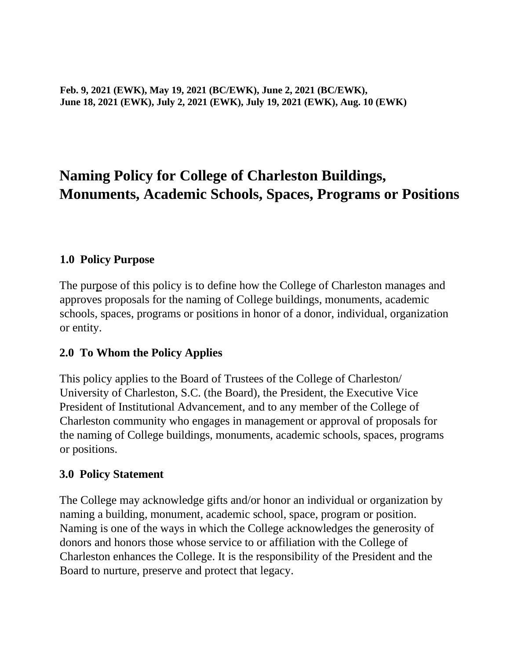**Feb. 9, 2021 (EWK), May 19, 2021 (BC/EWK), June 2, 2021 (BC/EWK), June 18, 2021 (EWK), July 2, 2021 (EWK), July 19, 2021 (EWK), Aug. 10 (EWK)**

# **Naming Policy for College of Charleston Buildings, Monuments, Academic Schools, Spaces, Programs or Positions**

### **1.0 Policy Purpose**

The purpose of this policy is to define how the College of Charleston manages and approves proposals for the naming of College buildings, monuments, academic schools, spaces, programs or positions in honor of a donor, individual, organization or entity.

#### **2.0 To Whom the Policy Applies**

This policy applies to the Board of Trustees of the College of Charleston/ University of Charleston, S.C. (the Board), the President, the Executive Vice President of Institutional Advancement, and to any member of the College of Charleston community who engages in management or approval of proposals for the naming of College buildings, monuments, academic schools, spaces, programs or positions.

#### **3.0 Policy Statement**

The College may acknowledge gifts and/or honor an individual or organization by naming a building, monument, academic school, space, program or position. Naming is one of the ways in which the College acknowledges the generosity of donors and honors those whose service to or affiliation with the College of Charleston enhances the College. It is the responsibility of the President and the Board to nurture, preserve and protect that legacy.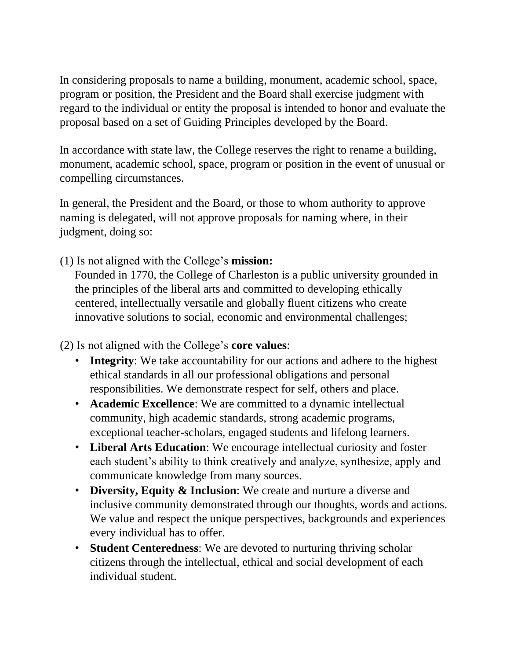In considering proposals to name a building, monument, academic school, space, program or position, the President and the Board shall exercise judgment with regard to the individual or entity the proposal is intended to honor and evaluate the proposal based on a set of Guiding Principles developed by the Board.

In accordance with state law, the College reserves the right to rename a building, monument, academic school, space, program or position in the event of unusual or compelling circumstances.

In general, the President and the Board, or those to whom authority to approve naming is delegated, will not approve proposals for naming where, in their judgment, doing so:

(1) Is not aligned with the College's **mission:**

Founded in 1770, the College of Charleston is a public university grounded in the principles of the liberal arts and committed to developing ethically centered, intellectually versatile and globally fluent citizens who create innovative solutions to social, economic and environmental challenges;

(2) Is not aligned with the College's **core values**:

- **Integrity**: We take accountability for our actions and adhere to the highest ethical standards in all our professional obligations and personal responsibilities. We demonstrate respect for self, others and place.
- **Academic Excellence**: We are committed to a dynamic intellectual community, high academic standards, strong academic programs, exceptional teacher-scholars, engaged students and lifelong learners.
- **Liberal Arts Education**: We encourage intellectual curiosity and foster each student's ability to think creatively and analyze, synthesize, apply and communicate knowledge from many sources.
- **Diversity, Equity & Inclusion**: We create and nurture a diverse and inclusive community demonstrated through our thoughts, words and actions. We value and respect the unique perspectives, backgrounds and experiences every individual has to offer.
- **Student Centeredness**: We are devoted to nurturing thriving scholar citizens through the intellectual, ethical and social development of each individual student.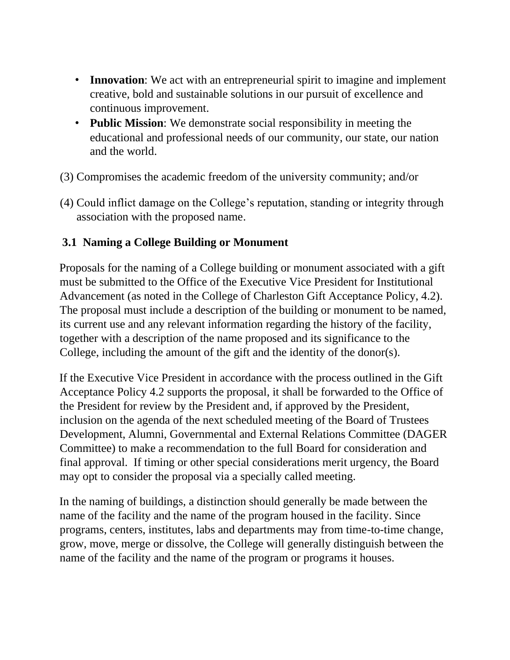- **Innovation**: We act with an entrepreneurial spirit to imagine and implement creative, bold and sustainable solutions in our pursuit of excellence and continuous improvement.
- **Public Mission**: We demonstrate social responsibility in meeting the educational and professional needs of our community, our state, our nation and the world.
- (3) Compromises the academic freedom of the university community; and/or
- (4) Could inflict damage on the College's reputation, standing or integrity through association with the proposed name.

# **3.1 Naming a College Building or Monument**

Proposals for the naming of a College building or monument associated with a gift must be submitted to the Office of the Executive Vice President for Institutional Advancement (as noted in the College of Charleston Gift Acceptance Policy, 4.2). The proposal must include a description of the building or monument to be named, its current use and any relevant information regarding the history of the facility, together with a description of the name proposed and its significance to the College, including the amount of the gift and the identity of the donor(s).

If the Executive Vice President in accordance with the process outlined in the Gift Acceptance Policy 4.2 supports the proposal, it shall be forwarded to the Office of the President for review by the President and, if approved by the President, inclusion on the agenda of the next scheduled meeting of the Board of Trustees Development, Alumni, Governmental and External Relations Committee (DAGER Committee) to make a recommendation to the full Board for consideration and final approval. If timing or other special considerations merit urgency, the Board may opt to consider the proposal via a specially called meeting.

In the naming of buildings, a distinction should generally be made between the name of the facility and the name of the program housed in the facility. Since programs, centers, institutes, labs and departments may from time-to-time change, grow, move, merge or dissolve, the College will generally distinguish between the name of the facility and the name of the program or programs it houses.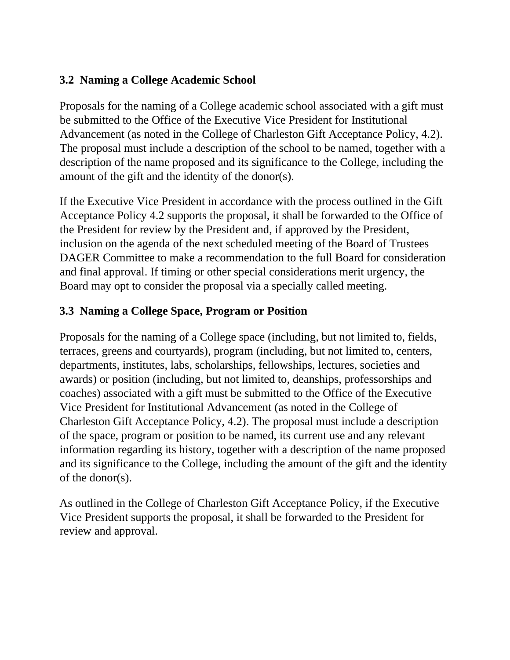### **3.2 Naming a College Academic School**

Proposals for the naming of a College academic school associated with a gift must be submitted to the Office of the Executive Vice President for Institutional Advancement (as noted in the College of Charleston Gift Acceptance Policy, 4.2). The proposal must include a description of the school to be named, together with a description of the name proposed and its significance to the College, including the amount of the gift and the identity of the donor(s).

If the Executive Vice President in accordance with the process outlined in the Gift Acceptance Policy 4.2 supports the proposal, it shall be forwarded to the Office of the President for review by the President and, if approved by the President, inclusion on the agenda of the next scheduled meeting of the Board of Trustees DAGER Committee to make a recommendation to the full Board for consideration and final approval. If timing or other special considerations merit urgency, the Board may opt to consider the proposal via a specially called meeting.

# **3.3 Naming a College Space, Program or Position**

Proposals for the naming of a College space (including, but not limited to, fields, terraces, greens and courtyards), program (including, but not limited to, centers, departments, institutes, labs, scholarships, fellowships, lectures, societies and awards) or position (including, but not limited to, deanships, professorships and coaches) associated with a gift must be submitted to the Office of the Executive Vice President for Institutional Advancement (as noted in the College of Charleston Gift Acceptance Policy, 4.2). The proposal must include a description of the space, program or position to be named, its current use and any relevant information regarding its history, together with a description of the name proposed and its significance to the College, including the amount of the gift and the identity of the donor(s).

As outlined in the College of Charleston Gift Acceptance Policy, if the Executive Vice President supports the proposal, it shall be forwarded to the President for review and approval.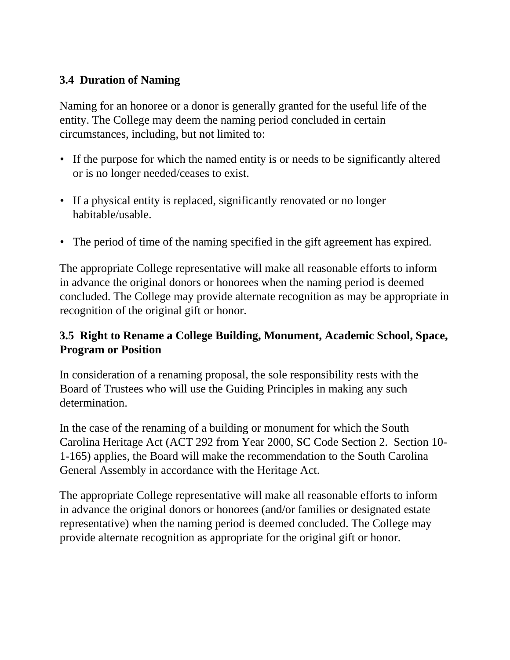## **3.4 Duration of Naming**

Naming for an honoree or a donor is generally granted for the useful life of the entity. The College may deem the naming period concluded in certain circumstances, including, but not limited to:

- If the purpose for which the named entity is or needs to be significantly altered or is no longer needed/ceases to exist.
- If a physical entity is replaced, significantly renovated or no longer habitable/usable.
- The period of time of the naming specified in the gift agreement has expired.

The appropriate College representative will make all reasonable efforts to inform in advance the original donors or honorees when the naming period is deemed concluded. The College may provide alternate recognition as may be appropriate in recognition of the original gift or honor.

# **3.5 Right to Rename a College Building, Monument, Academic School, Space, Program or Position**

In consideration of a renaming proposal, the sole responsibility rests with the Board of Trustees who will use the Guiding Principles in making any such determination.

In the case of the renaming of a building or monument for which the South Carolina Heritage Act (ACT 292 from Year 2000, SC Code Section 2. Section 10- 1-165) applies, the Board will make the recommendation to the South Carolina General Assembly in accordance with the Heritage Act.

The appropriate College representative will make all reasonable efforts to inform in advance the original donors or honorees (and/or families or designated estate representative) when the naming period is deemed concluded. The College may provide alternate recognition as appropriate for the original gift or honor.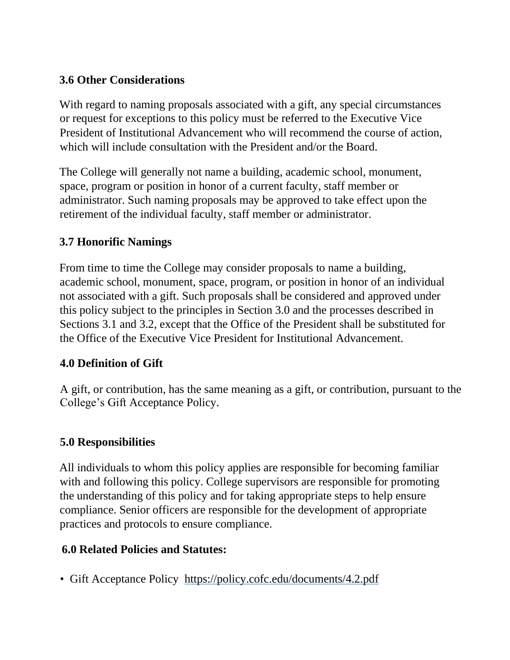# **3.6 Other Considerations**

With regard to naming proposals associated with a gift, any special circumstances or request for exceptions to this policy must be referred to the Executive Vice President of Institutional Advancement who will recommend the course of action, which will include consultation with the President and/or the Board.

The College will generally not name a building, academic school, monument, space, program or position in honor of a current faculty, staff member or administrator. Such naming proposals may be approved to take effect upon the retirement of the individual faculty, staff member or administrator.

# **3.7 Honorific Namings**

From time to time the College may consider proposals to name a building, academic school, monument, space, program, or position in honor of an individual not associated with a gift. Such proposals shall be considered and approved under this policy subject to the principles in Section 3.0 and the processes described in Sections 3.1 and 3.2, except that the Office of the President shall be substituted for the Office of the Executive Vice President for Institutional Advancement.

# **4.0 Definition of Gift**

A gift, or contribution, has the same meaning as a gift, or contribution, pursuant to the College's Gift Acceptance Policy.

# **5.0 Responsibilities**

All individuals to whom this policy applies are responsible for becoming familiar with and following this policy. College supervisors are responsible for promoting the understanding of this policy and for taking appropriate steps to help ensure compliance. Senior officers are responsible for the development of appropriate practices and protocols to ensure compliance.

# **6.0 Related Policies and Statutes:**

• Gift Acceptance Policy <https://policy.cofc.edu/documents/4.2.pdf>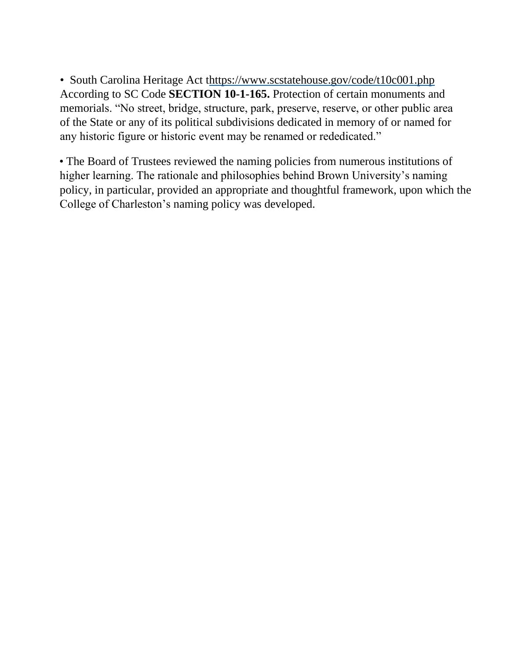• South Carolina Heritage Act [thttps://www.scstatehouse.gov/code/t10c001.php](https://www.scstatehouse.gov/code/t10c001.php) According to SC Code **SECTION 10-1-165.** Protection of certain monuments and memorials. "No street, bridge, structure, park, preserve, reserve, or other public area of the State or any of its political subdivisions dedicated in memory of or named for any historic figure or historic event may be renamed or rededicated."

• The Board of Trustees reviewed the naming policies from numerous institutions of higher learning. The rationale and philosophies behind Brown University's naming policy, in particular, provided an appropriate and thoughtful framework, upon which the College of Charleston's naming policy was developed.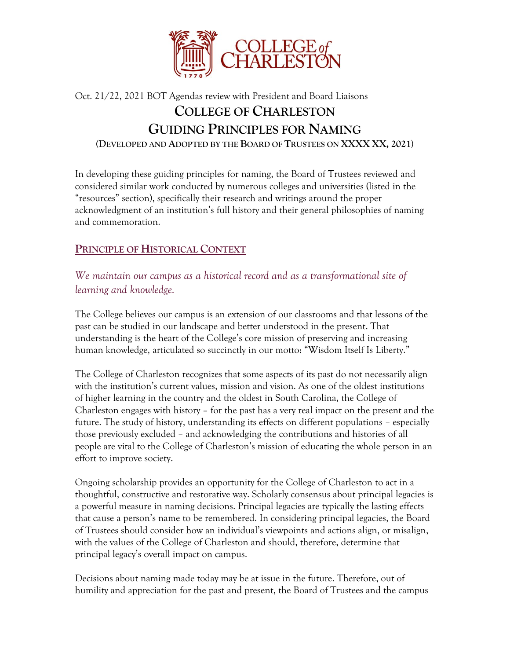

# Oct. 21/22, 2021 BOT Agendas review with President and Board Liaisons **COLLEGE OF CHARLESTON GUIDING PRINCIPLES FOR NAMING (DEVELOPED AND ADOPTED BY THE BOARD OF TRUSTEES ON XXXX XX, 2021)**

In developing these guiding principles for naming, the Board of Trustees reviewed and considered similar work conducted by numerous colleges and universities (listed in the "resources" section), specifically their research and writings around the proper acknowledgment of an institution's full history and their general philosophies of naming and commemoration.

### **PRINCIPLE OF HISTORICAL CONTEXT**

*We maintain our campus as a historical record and as a transformational site of learning and knowledge.* 

The College believes our campus is an extension of our classrooms and that lessons of the past can be studied in our landscape and better understood in the present. That understanding is the heart of the College's core mission of preserving and increasing human knowledge, articulated so succinctly in our motto: "Wisdom Itself Is Liberty."

The College of Charleston recognizes that some aspects of its past do not necessarily align with the institution's current values, mission and vision. As one of the oldest institutions of higher learning in the country and the oldest in South Carolina, the College of Charleston engages with history – for the past has a very real impact on the present and the future. The study of history, understanding its effects on different populations – especially those previously excluded – and acknowledging the contributions and histories of all people are vital to the College of Charleston's mission of educating the whole person in an effort to improve society.

Ongoing scholarship provides an opportunity for the College of Charleston to act in a thoughtful, constructive and restorative way. Scholarly consensus about principal legacies is a powerful measure in naming decisions. Principal legacies are typically the lasting effects that cause a person's name to be remembered. In considering principal legacies, the Board of Trustees should consider how an individual's viewpoints and actions align, or misalign, with the values of the College of Charleston and should, therefore, determine that principal legacy's overall impact on campus.

Decisions about naming made today may be at issue in the future. Therefore, out of humility and appreciation for the past and present, the Board of Trustees and the campus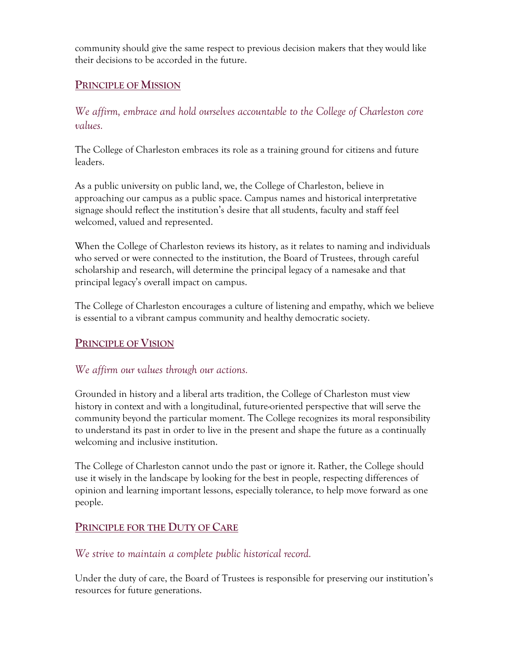community should give the same respect to previous decision makers that they would like their decisions to be accorded in the future.

#### **PRINCIPLE OF MISSION**

*We affirm, embrace and hold ourselves accountable to the College of Charleston core values.* 

The College of Charleston embraces its role as a training ground for citizens and future leaders.

As a public university on public land, we, the College of Charleston, believe in approaching our campus as a public space. Campus names and historical interpretative signage should reflect the institution's desire that all students, faculty and staff feel welcomed, valued and represented.

When the College of Charleston reviews its history, as it relates to naming and individuals who served or were connected to the institution, the Board of Trustees, through careful scholarship and research, will determine the principal legacy of a namesake and that principal legacy's overall impact on campus.

The College of Charleston encourages a culture of listening and empathy, which we believe is essential to a vibrant campus community and healthy democratic society.

#### **PRINCIPLE OF VISION**

#### *We affirm our values through our actions.*

Grounded in history and a liberal arts tradition, the College of Charleston must view history in context and with a longitudinal, future-oriented perspective that will serve the community beyond the particular moment. The College recognizes its moral responsibility to understand its past in order to live in the present and shape the future as a continually welcoming and inclusive institution.

The College of Charleston cannot undo the past or ignore it. Rather, the College should use it wisely in the landscape by looking for the best in people, respecting differences of opinion and learning important lessons, especially tolerance, to help move forward as one people.

#### **PRINCIPLE FOR THE DUTY OF CARE**

#### *We strive to maintain a complete public historical record.*

Under the duty of care, the Board of Trustees is responsible for preserving our institution's resources for future generations.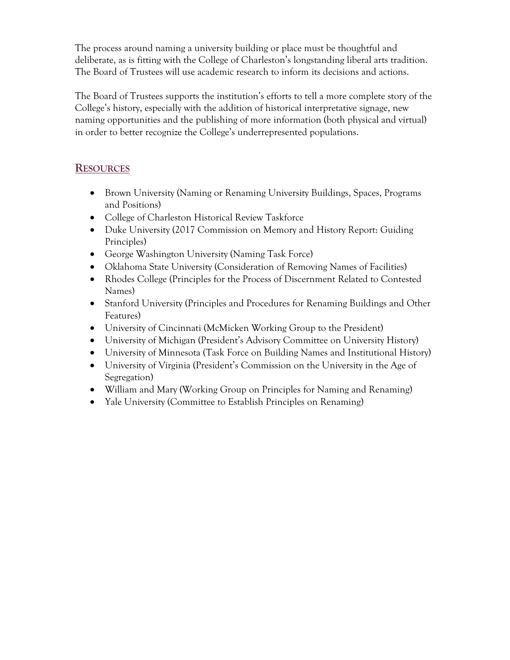The process around naming a university building or place must be thoughtful and deliberate, as is fitting with the College of Charleston's longstanding liberal arts tradition. The Board of Trustees will use academic research to inform its decisions and actions.

The Board of Trustees supports the institution's efforts to tell a more complete story of the College's history, especially with the addition of historical interpretative signage, new naming opportunities and the publishing of more information (both physical and virtual) in order to better recognize the College's underrepresented populations.

#### **RESOURCES**

- Brown University (Naming or Renaming University Buildings, Spaces, Programs and Positions)
- College of Charleston Historical Review Taskforce
- Duke University (2017 Commission on Memory and History Report: Guiding Principles)
- George Washington University (Naming Task Force)
- Oklahoma State University (Consideration of Removing Names of Facilities)
- Rhodes College (Principles for the Process of Discernment Related to Contested Names)
- Stanford University (Principles and Procedures for Renaming Buildings and Other Features)
- University of Cincinnati (McMicken Working Group to the President)
- University of Michigan (President's Advisory Committee on University History)
- University of Minnesota (Task Force on Building Names and Institutional History)
- University of Virginia (President's Commission on the University in the Age of Segregation)
- William and Mary (Working Group on Principles for Naming and Renaming)
- Yale University (Committee to Establish Principles on Renaming)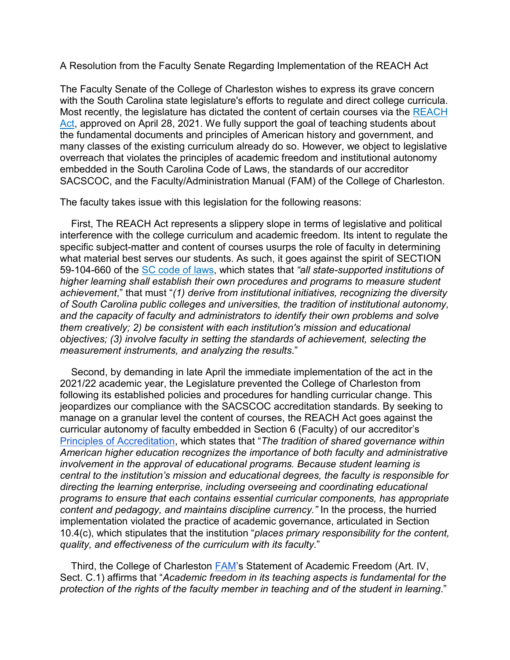A Resolution from the Faculty Senate Regarding Implementation of the REACH Act

The Faculty Senate of the College of Charleston wishes to express its grave concern with the South Carolina state legislature's efforts to regulate and direct college curricula. Most recently, the legislature has dictated the content of certain courses via the [REACH](https://www.scstatehouse.gov/sess124_2021-2022/bills/38.htm)  [Act,](https://www.scstatehouse.gov/sess124_2021-2022/bills/38.htm) approved on April 28, 2021. We fully support the goal of teaching students about the fundamental documents and principles of American history and government, and many classes of the existing curriculum already do so. However, we object to legislative overreach that violates the principles of academic freedom and institutional autonomy embedded in the South Carolina Code of Laws, the standards of our accreditor SACSCOC, and the Faculty/Administration Manual (FAM) of the College of Charleston.

The faculty takes issue with this legislation for the following reasons:

 First, The REACH Act represents a slippery slope in terms of legislative and political interference with the college curriculum and academic freedom. Its intent to regulate the specific subject-matter and content of courses usurps the role of faculty in determining what material best serves our students. As such, it goes against the spirit of SECTION 59-104-660 of the [SC code of laws,](https://www.scstatehouse.gov/code/t59c104.php) which states that *"all state-supported institutions of higher learning shall establish their own procedures and programs to measure student achievement*," that must "*(1) derive from institutional initiatives, recognizing the diversity of South Carolina public colleges and universities, the tradition of institutional autonomy, and the capacity of faculty and administrators to identify their own problems and solve them creatively; 2) be consistent with each institution's mission and educational objectives; (3) involve faculty in setting the standards of achievement, selecting the measurement instruments, and analyzing the results*."

 Second, by demanding in late April the immediate implementation of the act in the 2021/22 academic year, the Legislature prevented the College of Charleston from following its established policies and procedures for handling curricular change. This jeopardizes our compliance with the SACSCOC accreditation standards. By seeking to manage on a granular level the content of courses, the REACH Act goes against the curricular autonomy of faculty embedded in Section 6 (Faculty) of our accreditor's [Principles of Accreditation,](https://sacscoc.org/app/uploads/2019/08/2018PrinciplesOfAcreditation.pdf) which states that "*The tradition of shared governance within American higher education recognizes the importance of both faculty and administrative involvement in the approval of educational programs. Because student learning is central to the institution's mission and educational degrees, the faculty is responsible for directing the learning enterprise, including overseeing and coordinating educational programs to ensure that each contains essential curricular components, has appropriate content and pedagogy, and maintains discipline currency."* In the process, the hurried implementation violated the practice of academic governance, articulated in Section 10.4(c), which stipulates that the institution "*places primary responsibility for the content, quality, and effectiveness of the curriculum with its faculty.*"

 Third, the College of Charleston [FAM'](https://academicaffairs.cofc.edu/FAM.pdf)s Statement of Academic Freedom (Art. IV, Sect. C.1) affirms that "*Academic freedom in its teaching aspects is fundamental for the protection of the rights of the faculty member in teaching and of the student in learning*."